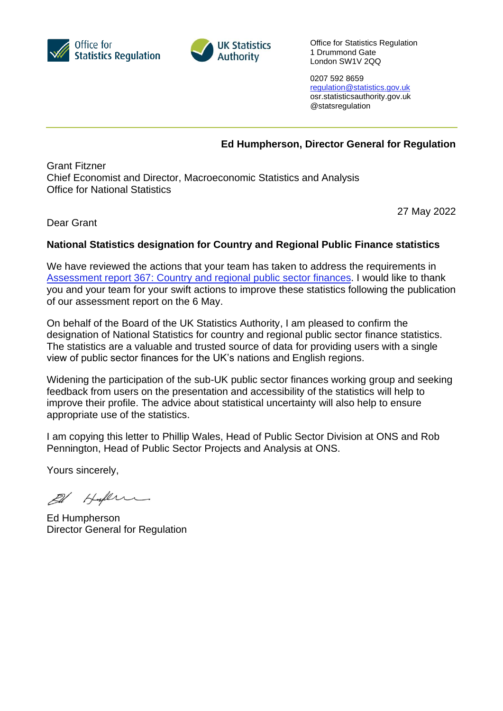



Office for Statistics Regulation 1 Drummond Gate London SW1V 2QQ

0207 592 8659 [regulation@statistics.gov.uk](mailto:E:%E2%80%82regulation@statistics.gov.uk) osr.statisticsauthority.gov.uk @statsregulation

## **Ed Humpherson, Director General for Regulation**

Grant Fitzner Chief Economist and Director, Macroeconomic Statistics and Analysis Office for National Statistics

27 May 2022

## Dear Grant

## **National Statistics designation for Country and Regional Public Finance statistics**

We have reviewed the actions that your team has taken to address the requirements in Assessment report 367: [Country and regional public sector finances.](https://osr.statisticsauthority.gov.uk/wp-content/uploads/2022/05/Country_regional_public_sector_finances.pdf) I would like to thank you and your team for your swift actions to improve these statistics following the publication of our assessment report on the 6 May.

On behalf of the Board of the UK Statistics Authority, I am pleased to confirm the designation of National Statistics for country and regional public sector finance statistics. The statistics are a valuable and trusted source of data for providing users with a single view of public sector finances for the UK's nations and English regions.

Widening the participation of the sub-UK public sector finances working group and seeking feedback from users on the presentation and accessibility of the statistics will help to improve their profile. The advice about statistical uncertainty will also help to ensure appropriate use of the statistics.

I am copying this letter to Phillip Wales, Head of Public Sector Division at ONS and Rob Pennington, Head of Public Sector Projects and Analysis at ONS.

Yours sincerely,

El Hylen

Ed Humpherson Director General for Regulation